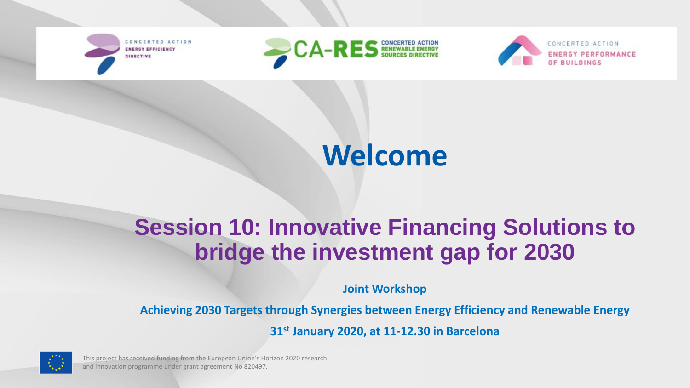**INERGY EFFICIENCY** DIRECTIVE





# **Welcome**

## **Session 10: Innovative Financing Solutions to bridge the investment gap for 2030**

**Joint Workshop** 

**Achieving 2030 Targets through Synergies between Energy Efficiency and Renewable Energy**

**31st January 2020, at 11-12.30 in Barcelona**



This project has received funding from the European Union's Horizon 2020 research and innovation programme under grant agreement No 820497.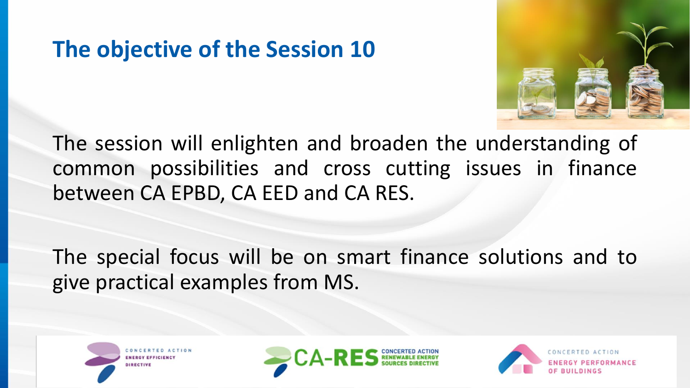## **The objective of the Session 10**



The session will enlighten and broaden the understanding of common possibilities and cross cutting issues in finance between CA EPBD, CA EED and CA RES.

The special focus will be on smart finance solutions and to give practical examples from MS.





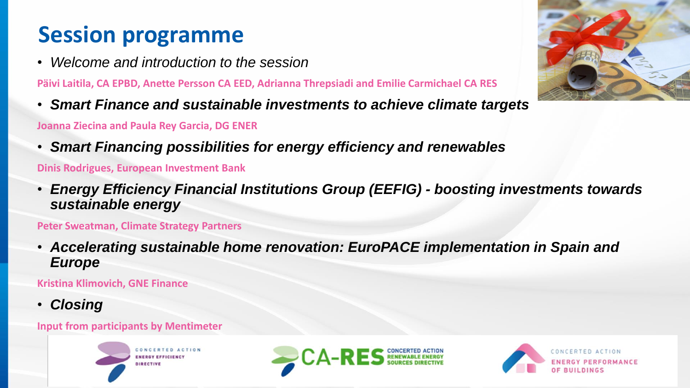## **Session programme**

• *Welcome and introduction to the session*

**Päivi Laitila, CA EPBD, Anette Persson CA EED, Adrianna Threpsiadi and Emilie Carmichael CA RES**

• *Smart Finance and sustainable investments to achieve climate targets*

**Joanna Ziecina and Paula Rey Garcia, DG ENER**

• *Smart Financing possibilities for energy efficiency and renewables*

**Dinis Rodrigues, European Investment Bank** 

• *Energy Efficiency Financial Institutions Group (EEFIG) - boosting investments towards sustainable energy* 

**Peter Sweatman, Climate Strategy Partners**

• *Accelerating sustainable home renovation: EuroPACE implementation in Spain and Europe*

**Kristina Klimovich, GNE Finance**

• *Closing*

#### **Input from participants by Mentimeter**







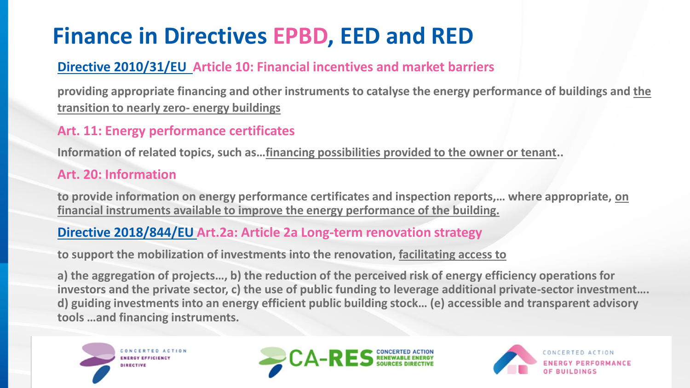## **Finance in Directives EPBD, EED and RED**

### **Directive 2010/31/EU Article 10: Financial incentives and market barriers**

**providing appropriate financing and other instruments to catalyse the energy performance of buildings and the transition to nearly zero- energy buildings**

### **Art. 11: Energy performance certificates**

**Information of related topics, such as…financing possibilities provided to the owner or tenant..**

#### **Art. 20: Information**

**to provide information on energy performance certificates and inspection reports,… where appropriate, on financial instruments available to improve the energy performance of the building.**

### **Directive 2018/844/EU Art.2a: Article 2a Long-term renovation strategy**

**to support the mobilization of investments into the renovation, facilitating access to** 

**a) the aggregation of projects…, b) the reduction of the perceived risk of energy efficiency operations for investors and the private sector, c) the use of public funding to leverage additional private-sector investment…. d) guiding investments into an energy efficient public building stock… (e) accessible and transparent advisory tools …and financing instruments.**





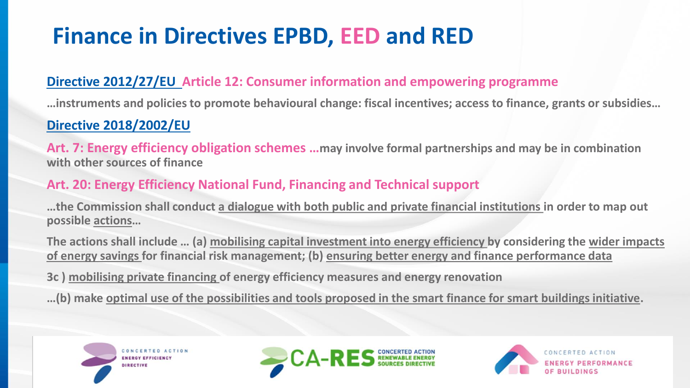## **Finance in Directives EPBD, EED and RED**

### **Directive 2012/27/EU Article 12: Consumer information and empowering programme**

**…instruments and policies to promote behavioural change: fiscal incentives; access to finance, grants or subsidies…**

### **Directive 2018/2002/EU**

**Art. 7: Energy efficiency obligation schemes …may involve formal partnerships and may be in combination with other sources of finance** 

### **Art. 20: Energy Efficiency National Fund, Financing and Technical support**

**…the Commission shall conduct a dialogue with both public and private financial institutions in order to map out possible actions…** 

**The actions shall include … (a) mobilising capital investment into energy efficiency by considering the wider impacts of energy savings for financial risk management; (b) ensuring better energy and finance performance data**

**3c ) mobilising private financing of energy efficiency measures and energy renovation** 

**…(b) make optimal use of the possibilities and tools proposed in the smart finance for smart buildings initiative.**





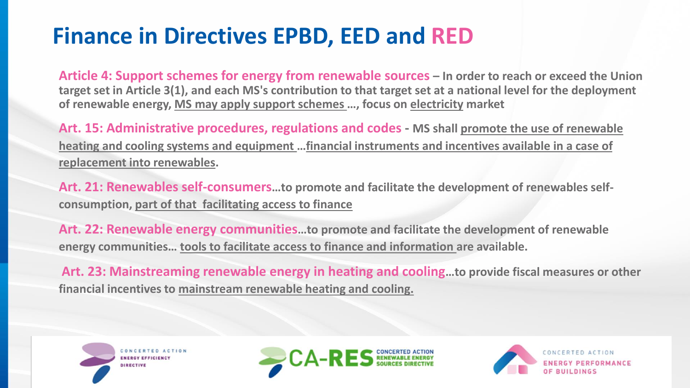## **Finance in Directives EPBD, EED and RED**

**Article 4: Support schemes for energy from renewable sources – In order to reach or exceed the Union target set in Article 3(1), and each MS's contribution to that target set at a national level for the deployment of renewable energy, MS may apply support schemes …, focus on electricity market**

**Art. 15: Administrative procedures, regulations and codes - MS shall promote the use of renewable heating and cooling systems and equipment …financial instruments and incentives available in a case of replacement into renewables.** 

**Art. 21: Renewables self-consumers…to promote and facilitate the development of renewables selfconsumption, part of that facilitating access to finance** 

**Art. 22: Renewable energy communities…to promote and facilitate the development of renewable energy communities… tools to facilitate access to finance and information are available.** 

**Art. 23: Mainstreaming renewable energy in heating and cooling…to provide fiscal measures or other financial incentives to mainstream renewable heating and cooling.**